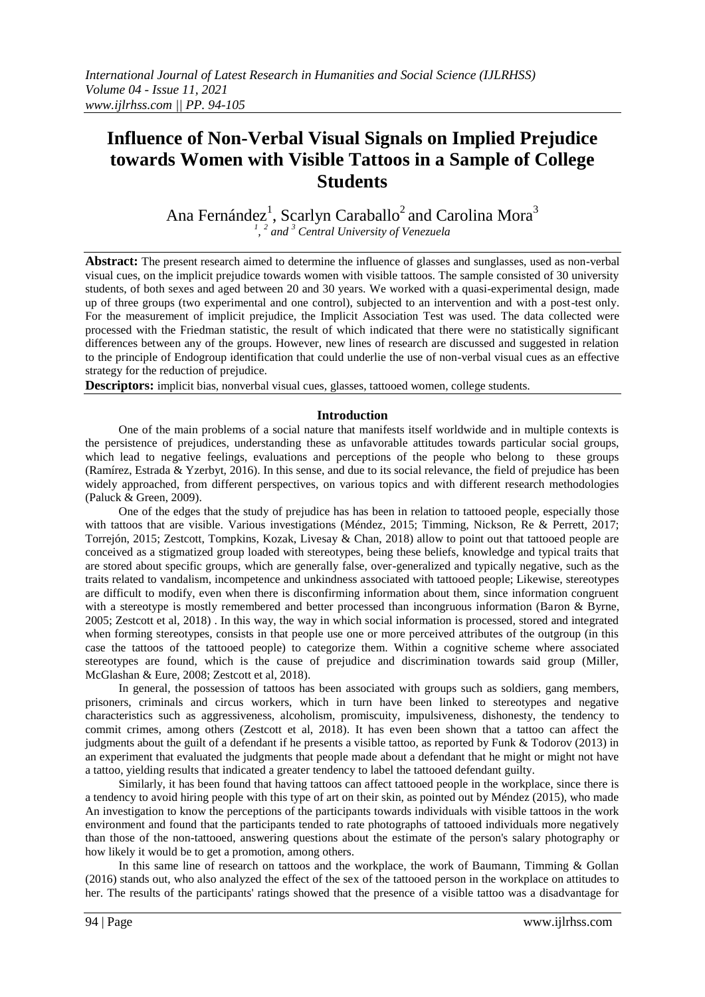# **Influence of Non-Verbal Visual Signals on Implied Prejudice towards Women with Visible Tattoos in a Sample of College Students**

Ana Fernández<sup>1</sup>, Scarlyn Caraballo<sup>2</sup> and Carolina Mora<sup>3</sup><br><sup>1</sup>, <sup>2</sup> and <sup>3</sup> Central University of Venezuela

**Abstract:** The present research aimed to determine the influence of glasses and sunglasses, used as non-verbal visual cues, on the implicit prejudice towards women with visible tattoos. The sample consisted of 30 university students, of both sexes and aged between 20 and 30 years. We worked with a quasi-experimental design, made up of three groups (two experimental and one control), subjected to an intervention and with a post-test only. For the measurement of implicit prejudice, the Implicit Association Test was used. The data collected were processed with the Friedman statistic, the result of which indicated that there were no statistically significant differences between any of the groups. However, new lines of research are discussed and suggested in relation to the principle of Endogroup identification that could underlie the use of non-verbal visual cues as an effective strategy for the reduction of prejudice.

**Descriptors:** implicit bias, nonverbal visual cues, glasses, tattooed women, college students.

### **Introduction**

One of the main problems of a social nature that manifests itself worldwide and in multiple contexts is the persistence of prejudices, understanding these as unfavorable attitudes towards particular social groups, which lead to negative feelings, evaluations and perceptions of the people who belong to these groups (Ramírez, Estrada & Yzerbyt, 2016). In this sense, and due to its social relevance, the field of prejudice has been widely approached, from different perspectives, on various topics and with different research methodologies (Paluck & Green, 2009).

One of the edges that the study of prejudice has has been in relation to tattooed people, especially those with tattoos that are visible. Various investigations (Méndez, 2015; Timming, Nickson, Re & Perrett, 2017; Torrejón, 2015; Zestcott, Tompkins, Kozak, Livesay & Chan, 2018) allow to point out that tattooed people are conceived as a stigmatized group loaded with stereotypes, being these beliefs, knowledge and typical traits that are stored about specific groups, which are generally false, over-generalized and typically negative, such as the traits related to vandalism, incompetence and unkindness associated with tattooed people; Likewise, stereotypes are difficult to modify, even when there is disconfirming information about them, since information congruent with a stereotype is mostly remembered and better processed than incongruous information (Baron & Byrne, 2005; Zestcott et al, 2018) . In this way, the way in which social information is processed, stored and integrated when forming stereotypes, consists in that people use one or more perceived attributes of the outgroup (in this case the tattoos of the tattooed people) to categorize them. Within a cognitive scheme where associated stereotypes are found, which is the cause of prejudice and discrimination towards said group (Miller, McGlashan & Eure, 2008; Zestcott et al, 2018).

In general, the possession of tattoos has been associated with groups such as soldiers, gang members, prisoners, criminals and circus workers, which in turn have been linked to stereotypes and negative characteristics such as aggressiveness, alcoholism, promiscuity, impulsiveness, dishonesty, the tendency to commit crimes, among others (Zestcott et al, 2018). It has even been shown that a tattoo can affect the judgments about the guilt of a defendant if he presents a visible tattoo, as reported by Funk & Todorov (2013) in an experiment that evaluated the judgments that people made about a defendant that he might or might not have a tattoo, yielding results that indicated a greater tendency to label the tattooed defendant guilty.

Similarly, it has been found that having tattoos can affect tattooed people in the workplace, since there is a tendency to avoid hiring people with this type of art on their skin, as pointed out by Méndez (2015), who made An investigation to know the perceptions of the participants towards individuals with visible tattoos in the work environment and found that the participants tended to rate photographs of tattooed individuals more negatively than those of the non-tattooed, answering questions about the estimate of the person's salary photography or how likely it would be to get a promotion, among others.

In this same line of research on tattoos and the workplace, the work of Baumann, Timming & Gollan (2016) stands out, who also analyzed the effect of the sex of the tattooed person in the workplace on attitudes to her. The results of the participants' ratings showed that the presence of a visible tattoo was a disadvantage for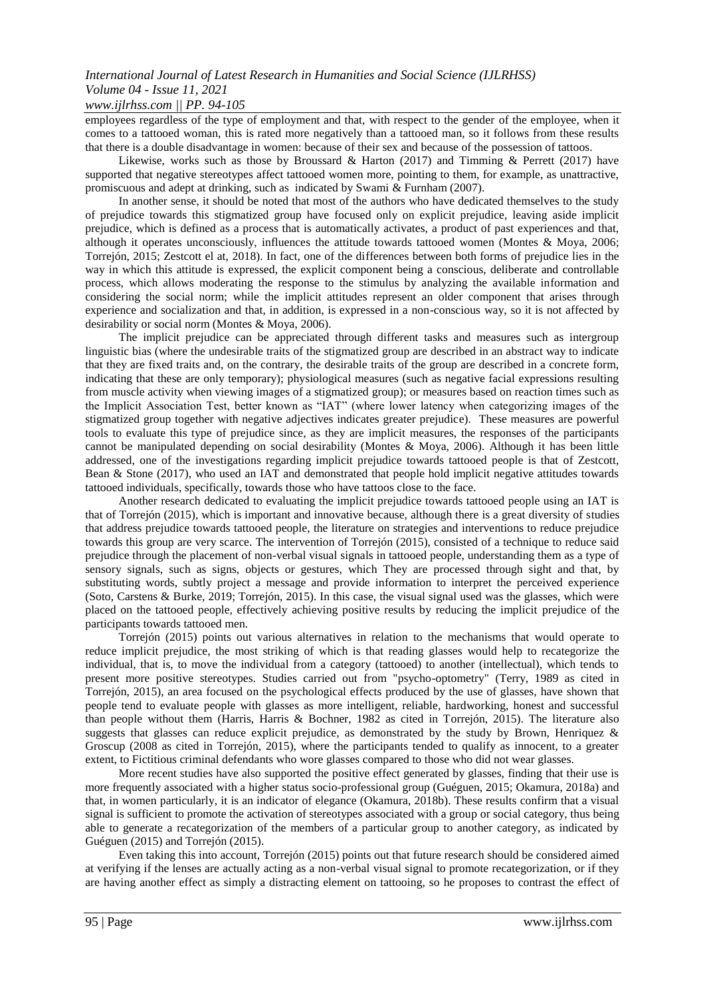### *www.ijlrhss.com || PP. 94-105*

employees regardless of the type of employment and that, with respect to the gender of the employee, when it comes to a tattooed woman, this is rated more negatively than a tattooed man, so it follows from these results that there is a double disadvantage in women: because of their sex and because of the possession of tattoos.

Likewise, works such as those by Broussard & Harton (2017) and Timming & Perrett (2017) have supported that negative stereotypes affect tattooed women more, pointing to them, for example, as unattractive, promiscuous and adept at drinking, such as indicated by Swami & Furnham (2007).

In another sense, it should be noted that most of the authors who have dedicated themselves to the study of prejudice towards this stigmatized group have focused only on explicit prejudice, leaving aside implicit prejudice, which is defined as a process that is automatically activates, a product of past experiences and that, although it operates unconsciously, influences the attitude towards tattooed women (Montes & Moya, 2006; Torrejón, 2015; Zestcott el at, 2018). In fact, one of the differences between both forms of prejudice lies in the way in which this attitude is expressed, the explicit component being a conscious, deliberate and controllable process, which allows moderating the response to the stimulus by analyzing the available information and considering the social norm; while the implicit attitudes represent an older component that arises through experience and socialization and that, in addition, is expressed in a non-conscious way, so it is not affected by desirability or social norm (Montes & Moya, 2006).

The implicit prejudice can be appreciated through different tasks and measures such as intergroup linguistic bias (where the undesirable traits of the stigmatized group are described in an abstract way to indicate that they are fixed traits and, on the contrary, the desirable traits of the group are described in a concrete form, indicating that these are only temporary); physiological measures (such as negative facial expressions resulting from muscle activity when viewing images of a stigmatized group); or measures based on reaction times such as the Implicit Association Test, better known as "IAT" (where lower latency when categorizing images of the stigmatized group together with negative adjectives indicates greater prejudice). These measures are powerful tools to evaluate this type of prejudice since, as they are implicit measures, the responses of the participants cannot be manipulated depending on social desirability (Montes & Moya, 2006). Although it has been little addressed, one of the investigations regarding implicit prejudice towards tattooed people is that of Zestcott, Bean & Stone (2017), who used an IAT and demonstrated that people hold implicit negative attitudes towards tattooed individuals, specifically, towards those who have tattoos close to the face.

Another research dedicated to evaluating the implicit prejudice towards tattooed people using an IAT is that of Torrejón (2015), which is important and innovative because, although there is a great diversity of studies that address prejudice towards tattooed people, the literature on strategies and interventions to reduce prejudice towards this group are very scarce. The intervention of Torrejón (2015), consisted of a technique to reduce said prejudice through the placement of non-verbal visual signals in tattooed people, understanding them as a type of sensory signals, such as signs, objects or gestures, which They are processed through sight and that, by substituting words, subtly project a message and provide information to interpret the perceived experience (Soto, Carstens & Burke, 2019; Torrejón, 2015). In this case, the visual signal used was the glasses, which were placed on the tattooed people, effectively achieving positive results by reducing the implicit prejudice of the participants towards tattooed men.

Torrejón (2015) points out various alternatives in relation to the mechanisms that would operate to reduce implicit prejudice, the most striking of which is that reading glasses would help to recategorize the individual, that is, to move the individual from a category (tattooed) to another (intellectual), which tends to present more positive stereotypes. Studies carried out from "psycho-optometry" (Terry, 1989 as cited in Torrejón, 2015), an area focused on the psychological effects produced by the use of glasses, have shown that people tend to evaluate people with glasses as more intelligent, reliable, hardworking, honest and successful than people without them (Harris, Harris & Bochner, 1982 as cited in Torrejón, 2015). The literature also suggests that glasses can reduce explicit prejudice, as demonstrated by the study by Brown, Henriquez & Groscup (2008 as cited in Torrejón, 2015), where the participants tended to qualify as innocent, to a greater extent, to Fictitious criminal defendants who wore glasses compared to those who did not wear glasses.

More recent studies have also supported the positive effect generated by glasses, finding that their use is more frequently associated with a higher status socio-professional group (Guéguen, 2015; Okamura, 2018a) and that, in women particularly, it is an indicator of elegance (Okamura, 2018b). These results confirm that a visual signal is sufficient to promote the activation of stereotypes associated with a group or social category, thus being able to generate a recategorization of the members of a particular group to another category, as indicated by Guéguen (2015) and Torrejón (2015).

Even taking this into account, Torrejón (2015) points out that future research should be considered aimed at verifying if the lenses are actually acting as a non-verbal visual signal to promote recategorization, or if they are having another effect as simply a distracting element on tattooing, so he proposes to contrast the effect of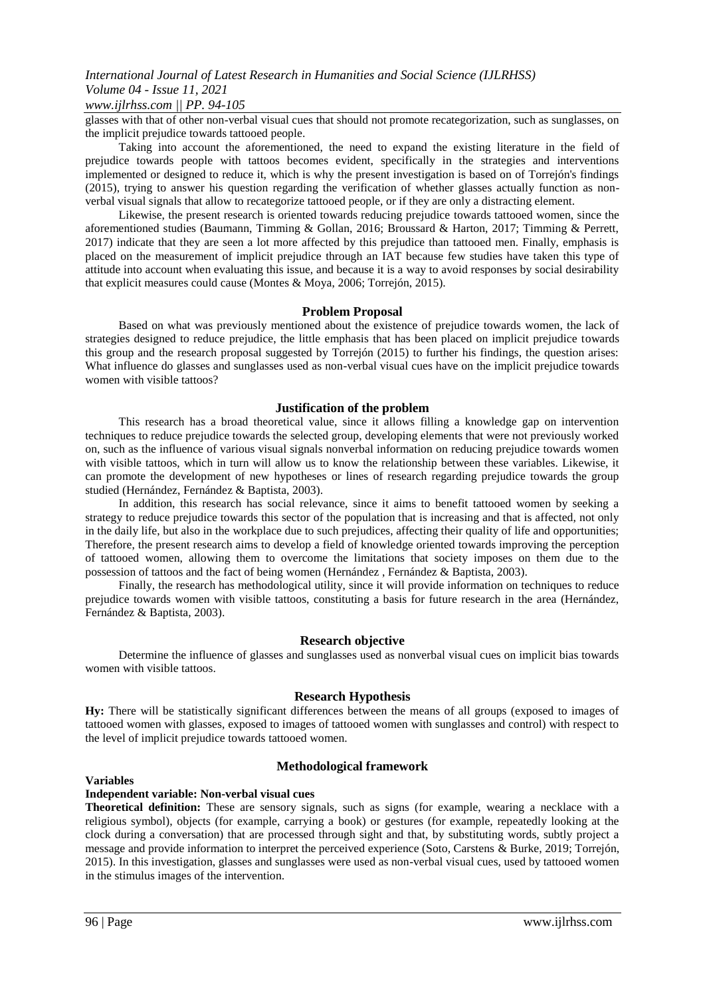# *www.ijlrhss.com || PP. 94-105*

glasses with that of other non-verbal visual cues that should not promote recategorization, such as sunglasses, on the implicit prejudice towards tattooed people.

Taking into account the aforementioned, the need to expand the existing literature in the field of prejudice towards people with tattoos becomes evident, specifically in the strategies and interventions implemented or designed to reduce it, which is why the present investigation is based on of Torrejón's findings (2015), trying to answer his question regarding the verification of whether glasses actually function as nonverbal visual signals that allow to recategorize tattooed people, or if they are only a distracting element.

Likewise, the present research is oriented towards reducing prejudice towards tattooed women, since the aforementioned studies (Baumann, Timming & Gollan, 2016; Broussard & Harton, 2017; Timming & Perrett, 2017) indicate that they are seen a lot more affected by this prejudice than tattooed men. Finally, emphasis is placed on the measurement of implicit prejudice through an IAT because few studies have taken this type of attitude into account when evaluating this issue, and because it is a way to avoid responses by social desirability that explicit measures could cause (Montes & Moya, 2006; Torrejón, 2015).

### **Problem Proposal**

Based on what was previously mentioned about the existence of prejudice towards women, the lack of strategies designed to reduce prejudice, the little emphasis that has been placed on implicit prejudice towards this group and the research proposal suggested by Torrejón (2015) to further his findings, the question arises: What influence do glasses and sunglasses used as non-verbal visual cues have on the implicit prejudice towards women with visible tattoos?

### **Justification of the problem**

This research has a broad theoretical value, since it allows filling a knowledge gap on intervention techniques to reduce prejudice towards the selected group, developing elements that were not previously worked on, such as the influence of various visual signals nonverbal information on reducing prejudice towards women with visible tattoos, which in turn will allow us to know the relationship between these variables. Likewise, it can promote the development of new hypotheses or lines of research regarding prejudice towards the group studied (Hernández, Fernández & Baptista, 2003).

In addition, this research has social relevance, since it aims to benefit tattooed women by seeking a strategy to reduce prejudice towards this sector of the population that is increasing and that is affected, not only in the daily life, but also in the workplace due to such prejudices, affecting their quality of life and opportunities; Therefore, the present research aims to develop a field of knowledge oriented towards improving the perception of tattooed women, allowing them to overcome the limitations that society imposes on them due to the possession of tattoos and the fact of being women (Hernández , Fernández & Baptista, 2003).

Finally, the research has methodological utility, since it will provide information on techniques to reduce prejudice towards women with visible tattoos, constituting a basis for future research in the area (Hernández, Fernández & Baptista, 2003).

### **Research objective**

Determine the influence of glasses and sunglasses used as nonverbal visual cues on implicit bias towards women with visible tattoos.

### **Research Hypothesis**

**Hy:** There will be statistically significant differences between the means of all groups (exposed to images of tattooed women with glasses, exposed to images of tattooed women with sunglasses and control) with respect to the level of implicit prejudice towards tattooed women.

### **Variables**

### **Methodological framework**

### **Independent variable: Non-verbal visual cues**

**Theoretical definition:** These are sensory signals, such as signs (for example, wearing a necklace with a religious symbol), objects (for example, carrying a book) or gestures (for example, repeatedly looking at the clock during a conversation) that are processed through sight and that, by substituting words, subtly project a message and provide information to interpret the perceived experience (Soto, Carstens & Burke, 2019; Torrejón, 2015). In this investigation, glasses and sunglasses were used as non-verbal visual cues, used by tattooed women in the stimulus images of the intervention.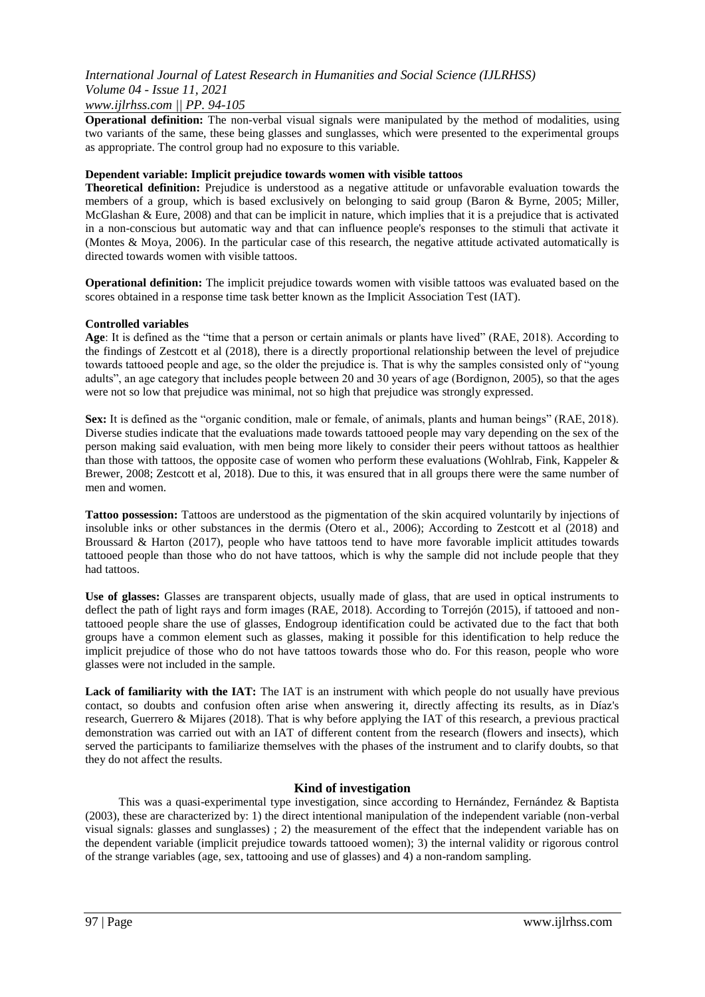### *International Journal of Latest Research in Humanities and Social Science (IJLRHSS) Volume 04 - Issue 11, 2021 www.ijlrhss.com || PP. 94-105*

**Operational definition:** The non-verbal visual signals were manipulated by the method of modalities, using two variants of the same, these being glasses and sunglasses, which were presented to the experimental groups as appropriate. The control group had no exposure to this variable.

### **Dependent variable: Implicit prejudice towards women with visible tattoos**

**Theoretical definition:** Prejudice is understood as a negative attitude or unfavorable evaluation towards the members of a group, which is based exclusively on belonging to said group (Baron & Byrne, 2005; Miller, McGlashan & Eure, 2008) and that can be implicit in nature, which implies that it is a prejudice that is activated in a non-conscious but automatic way and that can influence people's responses to the stimuli that activate it (Montes & Moya, 2006). In the particular case of this research, the negative attitude activated automatically is directed towards women with visible tattoos.

**Operational definition:** The implicit prejudice towards women with visible tattoos was evaluated based on the scores obtained in a response time task better known as the Implicit Association Test (IAT).

### **Controlled variables**

**Age**: It is defined as the "time that a person or certain animals or plants have lived" (RAE, 2018). According to the findings of Zestcott et al (2018), there is a directly proportional relationship between the level of prejudice towards tattooed people and age, so the older the prejudice is. That is why the samples consisted only of "young adults", an age category that includes people between 20 and 30 years of age (Bordignon, 2005), so that the ages were not so low that prejudice was minimal, not so high that prejudice was strongly expressed.

**Sex:** It is defined as the "organic condition, male or female, of animals, plants and human beings" (RAE, 2018). Diverse studies indicate that the evaluations made towards tattooed people may vary depending on the sex of the person making said evaluation, with men being more likely to consider their peers without tattoos as healthier than those with tattoos, the opposite case of women who perform these evaluations (Wohlrab, Fink, Kappeler & Brewer, 2008; Zestcott et al, 2018). Due to this, it was ensured that in all groups there were the same number of men and women.

**Tattoo possession:** Tattoos are understood as the pigmentation of the skin acquired voluntarily by injections of insoluble inks or other substances in the dermis (Otero et al., 2006); According to Zestcott et al (2018) and Broussard & Harton (2017), people who have tattoos tend to have more favorable implicit attitudes towards tattooed people than those who do not have tattoos, which is why the sample did not include people that they had tattoos.

**Use of glasses:** Glasses are transparent objects, usually made of glass, that are used in optical instruments to deflect the path of light rays and form images (RAE, 2018). According to Torrejón (2015), if tattooed and nontattooed people share the use of glasses, Endogroup identification could be activated due to the fact that both groups have a common element such as glasses, making it possible for this identification to help reduce the implicit prejudice of those who do not have tattoos towards those who do. For this reason, people who wore glasses were not included in the sample.

Lack of familiarity with the IAT: The IAT is an instrument with which people do not usually have previous contact, so doubts and confusion often arise when answering it, directly affecting its results, as in Díaz's research, Guerrero & Mijares (2018). That is why before applying the IAT of this research, a previous practical demonstration was carried out with an IAT of different content from the research (flowers and insects), which served the participants to familiarize themselves with the phases of the instrument and to clarify doubts, so that they do not affect the results.

### **Kind of investigation**

This was a quasi-experimental type investigation, since according to Hernández, Fernández & Baptista (2003), these are characterized by: 1) the direct intentional manipulation of the independent variable (non-verbal visual signals: glasses and sunglasses) ; 2) the measurement of the effect that the independent variable has on the dependent variable (implicit prejudice towards tattooed women); 3) the internal validity or rigorous control of the strange variables (age, sex, tattooing and use of glasses) and 4) a non-random sampling.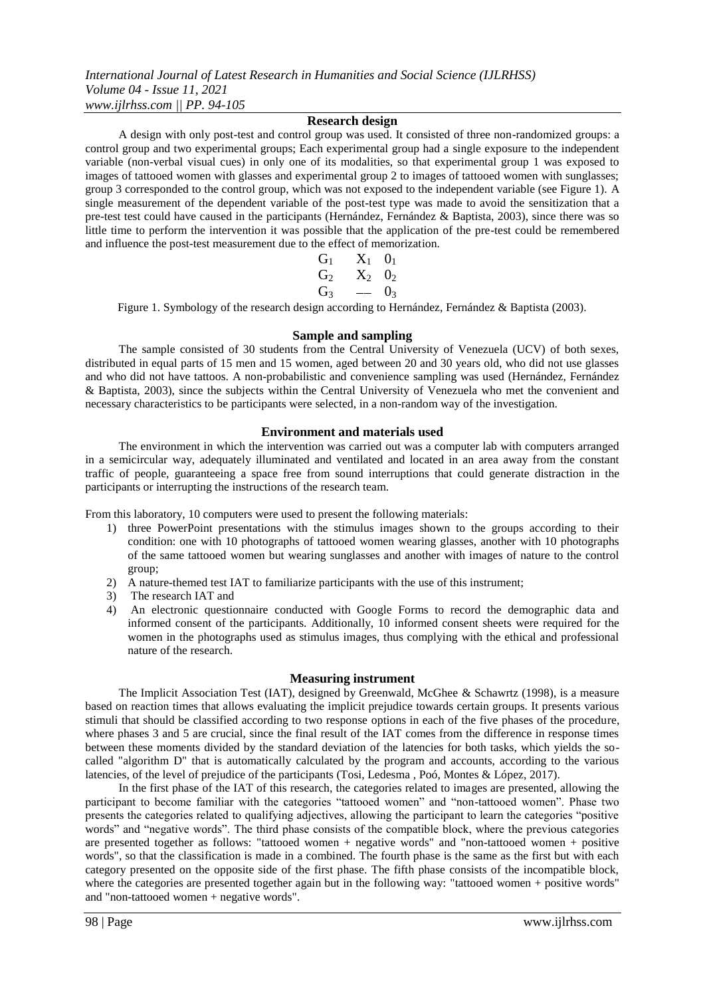*International Journal of Latest Research in Humanities and Social Science (IJLRHSS) Volume 04 - Issue 11, 2021 www.ijlrhss.com || PP. 94-105*

### **Research design**

A design with only post-test and control group was used. It consisted of three non-randomized groups: a control group and two experimental groups; Each experimental group had a single exposure to the independent variable (non-verbal visual cues) in only one of its modalities, so that experimental group 1 was exposed to images of tattooed women with glasses and experimental group 2 to images of tattooed women with sunglasses; group 3 corresponded to the control group, which was not exposed to the independent variable (see Figure 1). A single measurement of the dependent variable of the post-test type was made to avoid the sensitization that a pre-test test could have caused in the participants (Hernández, Fernández & Baptista, 2003), since there was so little time to perform the intervention it was possible that the application of the pre-test could be remembered and influence the post-test measurement due to the effect of memorization.

$$
\begin{array}{ccc}G_1 & X_1 & 0_1\\ G_2 & X_2 & 0_2\\ G_3 & - & 0_3\end{array}
$$

Figure 1. Symbology of the research design according to Hernández, Fernández & Baptista (2003).

### **Sample and sampling**

The sample consisted of 30 students from the Central University of Venezuela (UCV) of both sexes, distributed in equal parts of 15 men and 15 women, aged between 20 and 30 years old, who did not use glasses and who did not have tattoos. A non-probabilistic and convenience sampling was used (Hernández, Fernández & Baptista, 2003), since the subjects within the Central University of Venezuela who met the convenient and necessary characteristics to be participants were selected, in a non-random way of the investigation.

### **Environment and materials used**

The environment in which the intervention was carried out was a computer lab with computers arranged in a semicircular way, adequately illuminated and ventilated and located in an area away from the constant traffic of people, guaranteeing a space free from sound interruptions that could generate distraction in the participants or interrupting the instructions of the research team.

From this laboratory, 10 computers were used to present the following materials:

- 1) three PowerPoint presentations with the stimulus images shown to the groups according to their condition: one with 10 photographs of tattooed women wearing glasses, another with 10 photographs of the same tattooed women but wearing sunglasses and another with images of nature to the control group;
- 2) A nature-themed test IAT to familiarize participants with the use of this instrument;
- 3) The research IAT and
- 4) An electronic questionnaire conducted with Google Forms to record the demographic data and informed consent of the participants. Additionally, 10 informed consent sheets were required for the women in the photographs used as stimulus images, thus complying with the ethical and professional nature of the research.

### **Measuring instrument**

The Implicit Association Test (IAT), designed by Greenwald, McGhee & Schawrtz (1998), is a measure based on reaction times that allows evaluating the implicit prejudice towards certain groups. It presents various stimuli that should be classified according to two response options in each of the five phases of the procedure, where phases 3 and 5 are crucial, since the final result of the IAT comes from the difference in response times between these moments divided by the standard deviation of the latencies for both tasks, which yields the socalled "algorithm D" that is automatically calculated by the program and accounts, according to the various latencies, of the level of prejudice of the participants (Tosi, Ledesma , Poó, Montes & López, 2017).

In the first phase of the IAT of this research, the categories related to images are presented, allowing the participant to become familiar with the categories "tattooed women" and "non-tattooed women". Phase two presents the categories related to qualifying adjectives, allowing the participant to learn the categories "positive words" and "negative words". The third phase consists of the compatible block, where the previous categories are presented together as follows: "tattooed women + negative words" and "non-tattooed women + positive words", so that the classification is made in a combined. The fourth phase is the same as the first but with each category presented on the opposite side of the first phase. The fifth phase consists of the incompatible block, where the categories are presented together again but in the following way: "tattooed women + positive words" and "non-tattooed women + negative words".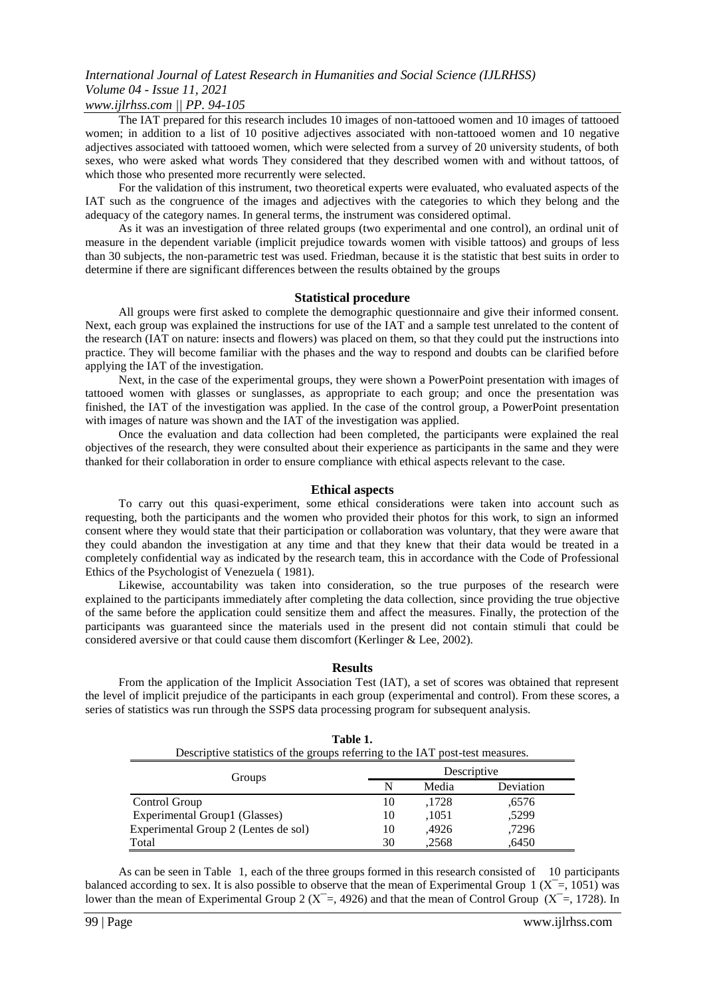### *www.ijlrhss.com || PP. 94-105*

The IAT prepared for this research includes 10 images of non-tattooed women and 10 images of tattooed women; in addition to a list of 10 positive adjectives associated with non-tattooed women and 10 negative adjectives associated with tattooed women, which were selected from a survey of 20 university students, of both sexes, who were asked what words They considered that they described women with and without tattoos, of which those who presented more recurrently were selected.

For the validation of this instrument, two theoretical experts were evaluated, who evaluated aspects of the IAT such as the congruence of the images and adjectives with the categories to which they belong and the adequacy of the category names. In general terms, the instrument was considered optimal.

As it was an investigation of three related groups (two experimental and one control), an ordinal unit of measure in the dependent variable (implicit prejudice towards women with visible tattoos) and groups of less than 30 subjects, the non-parametric test was used. Friedman, because it is the statistic that best suits in order to determine if there are significant differences between the results obtained by the groups

#### **Statistical procedure**

All groups were first asked to complete the demographic questionnaire and give their informed consent. Next, each group was explained the instructions for use of the IAT and a sample test unrelated to the content of the research (IAT on nature: insects and flowers) was placed on them, so that they could put the instructions into practice. They will become familiar with the phases and the way to respond and doubts can be clarified before applying the IAT of the investigation.

Next, in the case of the experimental groups, they were shown a PowerPoint presentation with images of tattooed women with glasses or sunglasses, as appropriate to each group; and once the presentation was finished, the IAT of the investigation was applied. In the case of the control group, a PowerPoint presentation with images of nature was shown and the IAT of the investigation was applied.

Once the evaluation and data collection had been completed, the participants were explained the real objectives of the research, they were consulted about their experience as participants in the same and they were thanked for their collaboration in order to ensure compliance with ethical aspects relevant to the case.

#### **Ethical aspects**

To carry out this quasi-experiment, some ethical considerations were taken into account such as requesting, both the participants and the women who provided their photos for this work, to sign an informed consent where they would state that their participation or collaboration was voluntary, that they were aware that they could abandon the investigation at any time and that they knew that their data would be treated in a completely confidential way as indicated by the research team, this in accordance with the Code of Professional Ethics of the Psychologist of Venezuela ( 1981).

Likewise, accountability was taken into consideration, so the true purposes of the research were explained to the participants immediately after completing the data collection, since providing the true objective of the same before the application could sensitize them and affect the measures. Finally, the protection of the participants was guaranteed since the materials used in the present did not contain stimuli that could be considered aversive or that could cause them discomfort (Kerlinger & Lee, 2002).

#### **Results**

From the application of the Implicit Association Test (IAT), a set of scores was obtained that represent the level of implicit prejudice of the participants in each group (experimental and control). From these scores, a series of statistics was run through the SSPS data processing program for subsequent analysis.

**Table 1.** 

| rapie r.<br>Descriptive statistics of the groups referring to the IAT post-test measures. |             |       |           |  |
|-------------------------------------------------------------------------------------------|-------------|-------|-----------|--|
| Groups                                                                                    | Descriptive |       |           |  |
|                                                                                           | N           | Media | Deviation |  |
| Control Group                                                                             | 10          | ,1728 | .6576     |  |
| Experimental Group1 (Glasses)                                                             | 10          | ,1051 | .5299     |  |
| Experimental Group 2 (Lentes de sol)                                                      | 10          | .4926 | ,7296     |  |
| Total                                                                                     | 30          | .2568 | .6450     |  |

As can be seen in Table 1, each of the three groups formed in this research consisted of 10 participants balanced according to sex. It is also possible to observe that the mean of Experimental Group  $1 (X = 1051)$  was lower than the mean of Experimental Group 2 ( $X^-$ =, 4926) and that the mean of Control Group ( $X^-$ =, 1728). In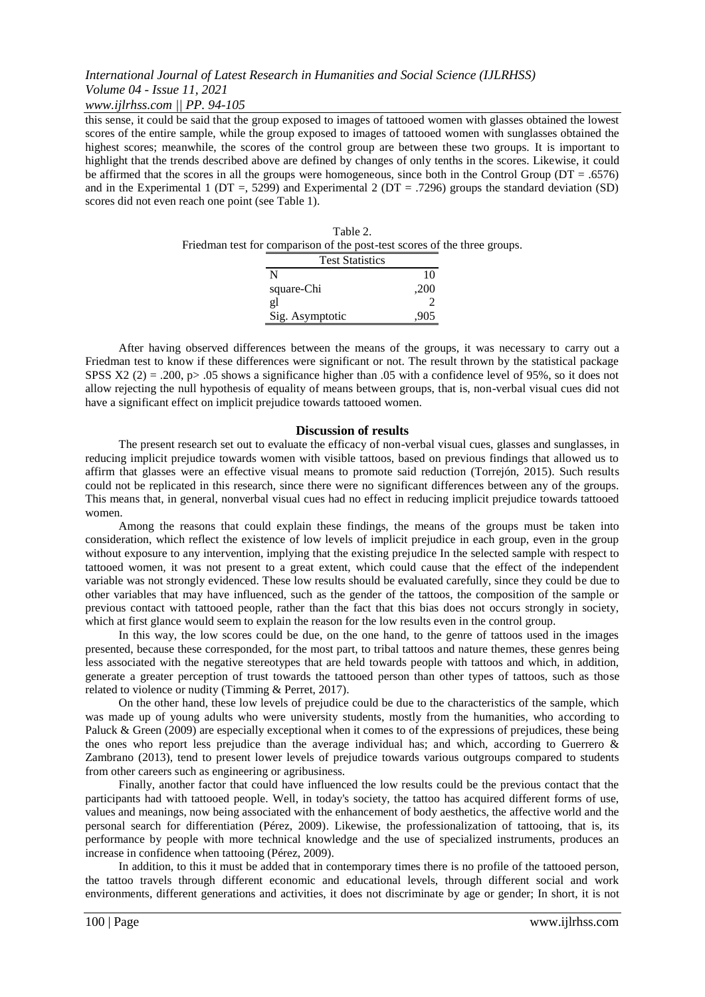### *www.ijlrhss.com || PP. 94-105*

this sense, it could be said that the group exposed to images of tattooed women with glasses obtained the lowest scores of the entire sample, while the group exposed to images of tattooed women with sunglasses obtained the highest scores; meanwhile, the scores of the control group are between these two groups. It is important to highlight that the trends described above are defined by changes of only tenths in the scores. Likewise, it could be affirmed that the scores in all the groups were homogeneous, since both in the Control Group (DT = .6576) and in the Experimental 1 (DT =, 5299) and Experimental 2 (DT = .7296) groups the standard deviation (SD) scores did not even reach one point (see Table 1).

| Table 2.                                                                  |  |
|---------------------------------------------------------------------------|--|
| Friedman test for comparison of the post-test scores of the three groups. |  |
| <b>Test Statistics</b>                                                    |  |

| I est Statistics |      |
|------------------|------|
| N                | 10   |
| square-Chi       | ,200 |
| gl               |      |
| Sig. Asymptotic  | 905  |

After having observed differences between the means of the groups, it was necessary to carry out a Friedman test to know if these differences were significant or not. The result thrown by the statistical package SPSS  $X2$  (2) = .200, p> .05 shows a significance higher than .05 with a confidence level of 95%, so it does not allow rejecting the null hypothesis of equality of means between groups, that is, non-verbal visual cues did not have a significant effect on implicit prejudice towards tattooed women.

### **Discussion of results**

The present research set out to evaluate the efficacy of non-verbal visual cues, glasses and sunglasses, in reducing implicit prejudice towards women with visible tattoos, based on previous findings that allowed us to affirm that glasses were an effective visual means to promote said reduction (Torrejón, 2015). Such results could not be replicated in this research, since there were no significant differences between any of the groups. This means that, in general, nonverbal visual cues had no effect in reducing implicit prejudice towards tattooed women.

Among the reasons that could explain these findings, the means of the groups must be taken into consideration, which reflect the existence of low levels of implicit prejudice in each group, even in the group without exposure to any intervention, implying that the existing prejudice In the selected sample with respect to tattooed women, it was not present to a great extent, which could cause that the effect of the independent variable was not strongly evidenced. These low results should be evaluated carefully, since they could be due to other variables that may have influenced, such as the gender of the tattoos, the composition of the sample or previous contact with tattooed people, rather than the fact that this bias does not occurs strongly in society, which at first glance would seem to explain the reason for the low results even in the control group.

In this way, the low scores could be due, on the one hand, to the genre of tattoos used in the images presented, because these corresponded, for the most part, to tribal tattoos and nature themes, these genres being less associated with the negative stereotypes that are held towards people with tattoos and which, in addition, generate a greater perception of trust towards the tattooed person than other types of tattoos, such as those related to violence or nudity (Timming & Perret, 2017).

On the other hand, these low levels of prejudice could be due to the characteristics of the sample, which was made up of young adults who were university students, mostly from the humanities, who according to Paluck & Green (2009) are especially exceptional when it comes to of the expressions of prejudices, these being the ones who report less prejudice than the average individual has; and which, according to Guerrero & Zambrano (2013), tend to present lower levels of prejudice towards various outgroups compared to students from other careers such as engineering or agribusiness.

Finally, another factor that could have influenced the low results could be the previous contact that the participants had with tattooed people. Well, in today's society, the tattoo has acquired different forms of use, values and meanings, now being associated with the enhancement of body aesthetics, the affective world and the personal search for differentiation (Pérez, 2009). Likewise, the professionalization of tattooing, that is, its performance by people with more technical knowledge and the use of specialized instruments, produces an increase in confidence when tattooing (Pérez, 2009).

In addition, to this it must be added that in contemporary times there is no profile of the tattooed person, the tattoo travels through different economic and educational levels, through different social and work environments, different generations and activities, it does not discriminate by age or gender; In short, it is not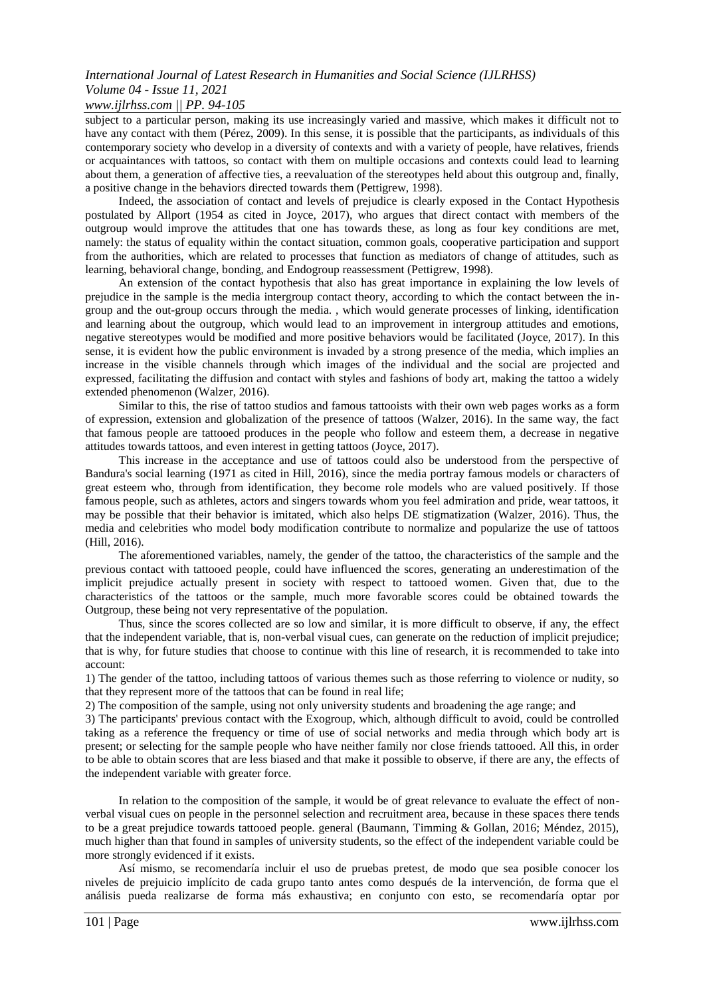### *www.ijlrhss.com || PP. 94-105*

subject to a particular person, making its use increasingly varied and massive, which makes it difficult not to have any contact with them (Pérez, 2009). In this sense, it is possible that the participants, as individuals of this contemporary society who develop in a diversity of contexts and with a variety of people, have relatives, friends or acquaintances with tattoos, so contact with them on multiple occasions and contexts could lead to learning about them, a generation of affective ties, a reevaluation of the stereotypes held about this outgroup and, finally, a positive change in the behaviors directed towards them (Pettigrew, 1998).

Indeed, the association of contact and levels of prejudice is clearly exposed in the Contact Hypothesis postulated by Allport (1954 as cited in Joyce, 2017), who argues that direct contact with members of the outgroup would improve the attitudes that one has towards these, as long as four key conditions are met, namely: the status of equality within the contact situation, common goals, cooperative participation and support from the authorities, which are related to processes that function as mediators of change of attitudes, such as learning, behavioral change, bonding, and Endogroup reassessment (Pettigrew, 1998).

An extension of the contact hypothesis that also has great importance in explaining the low levels of prejudice in the sample is the media intergroup contact theory, according to which the contact between the ingroup and the out-group occurs through the media. , which would generate processes of linking, identification and learning about the outgroup, which would lead to an improvement in intergroup attitudes and emotions, negative stereotypes would be modified and more positive behaviors would be facilitated (Joyce, 2017). In this sense, it is evident how the public environment is invaded by a strong presence of the media, which implies an increase in the visible channels through which images of the individual and the social are projected and expressed, facilitating the diffusion and contact with styles and fashions of body art, making the tattoo a widely extended phenomenon (Walzer, 2016).

Similar to this, the rise of tattoo studios and famous tattooists with their own web pages works as a form of expression, extension and globalization of the presence of tattoos (Walzer, 2016). In the same way, the fact that famous people are tattooed produces in the people who follow and esteem them, a decrease in negative attitudes towards tattoos, and even interest in getting tattoos (Joyce, 2017).

This increase in the acceptance and use of tattoos could also be understood from the perspective of Bandura's social learning (1971 as cited in Hill, 2016), since the media portray famous models or characters of great esteem who, through from identification, they become role models who are valued positively. If those famous people, such as athletes, actors and singers towards whom you feel admiration and pride, wear tattoos, it may be possible that their behavior is imitated, which also helps DE stigmatization (Walzer, 2016). Thus, the media and celebrities who model body modification contribute to normalize and popularize the use of tattoos (Hill, 2016).

The aforementioned variables, namely, the gender of the tattoo, the characteristics of the sample and the previous contact with tattooed people, could have influenced the scores, generating an underestimation of the implicit prejudice actually present in society with respect to tattooed women. Given that, due to the characteristics of the tattoos or the sample, much more favorable scores could be obtained towards the Outgroup, these being not very representative of the population.

Thus, since the scores collected are so low and similar, it is more difficult to observe, if any, the effect that the independent variable, that is, non-verbal visual cues, can generate on the reduction of implicit prejudice; that is why, for future studies that choose to continue with this line of research, it is recommended to take into account:

1) The gender of the tattoo, including tattoos of various themes such as those referring to violence or nudity, so that they represent more of the tattoos that can be found in real life;

2) The composition of the sample, using not only university students and broadening the age range; and

3) The participants' previous contact with the Exogroup, which, although difficult to avoid, could be controlled taking as a reference the frequency or time of use of social networks and media through which body art is present; or selecting for the sample people who have neither family nor close friends tattooed. All this, in order to be able to obtain scores that are less biased and that make it possible to observe, if there are any, the effects of the independent variable with greater force.

In relation to the composition of the sample, it would be of great relevance to evaluate the effect of nonverbal visual cues on people in the personnel selection and recruitment area, because in these spaces there tends to be a great prejudice towards tattooed people. general (Baumann, Timming & Gollan, 2016; Méndez, 2015), much higher than that found in samples of university students, so the effect of the independent variable could be more strongly evidenced if it exists.

Así mismo, se recomendaría incluir el uso de pruebas pretest, de modo que sea posible conocer los niveles de prejuicio implícito de cada grupo tanto antes como después de la intervención, de forma que el análisis pueda realizarse de forma más exhaustiva; en conjunto con esto, se recomendaría optar por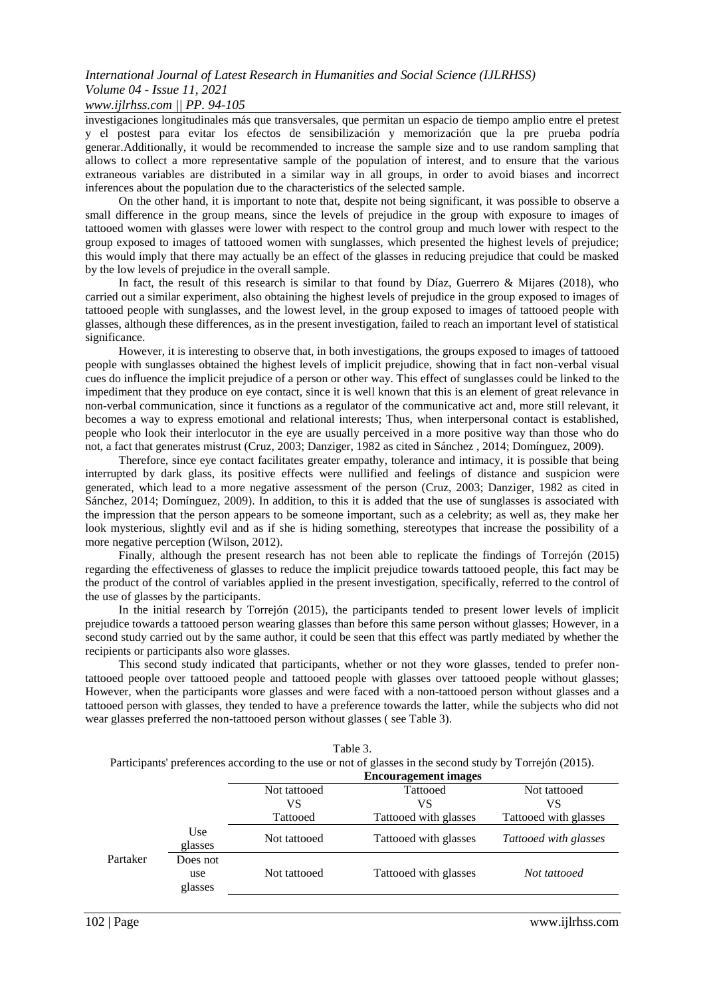### *www.ijlrhss.com || PP. 94-105*

investigaciones longitudinales más que transversales, que permitan un espacio de tiempo amplio entre el pretest y el postest para evitar los efectos de sensibilización y memorización que la pre prueba podría generar.Additionally, it would be recommended to increase the sample size and to use random sampling that allows to collect a more representative sample of the population of interest, and to ensure that the various extraneous variables are distributed in a similar way in all groups, in order to avoid biases and incorrect inferences about the population due to the characteristics of the selected sample.

On the other hand, it is important to note that, despite not being significant, it was possible to observe a small difference in the group means, since the levels of prejudice in the group with exposure to images of tattooed women with glasses were lower with respect to the control group and much lower with respect to the group exposed to images of tattooed women with sunglasses, which presented the highest levels of prejudice; this would imply that there may actually be an effect of the glasses in reducing prejudice that could be masked by the low levels of prejudice in the overall sample.

In fact, the result of this research is similar to that found by Díaz, Guerrero & Mijares (2018), who carried out a similar experiment, also obtaining the highest levels of prejudice in the group exposed to images of tattooed people with sunglasses, and the lowest level, in the group exposed to images of tattooed people with glasses, although these differences, as in the present investigation, failed to reach an important level of statistical significance.

However, it is interesting to observe that, in both investigations, the groups exposed to images of tattooed people with sunglasses obtained the highest levels of implicit prejudice, showing that in fact non-verbal visual cues do influence the implicit prejudice of a person or other way. This effect of sunglasses could be linked to the impediment that they produce on eye contact, since it is well known that this is an element of great relevance in non-verbal communication, since it functions as a regulator of the communicative act and, more still relevant, it becomes a way to express emotional and relational interests; Thus, when interpersonal contact is established, people who look their interlocutor in the eye are usually perceived in a more positive way than those who do not, a fact that generates mistrust (Cruz, 2003; Danziger, 1982 as cited in Sánchez , 2014; Domínguez, 2009).

Therefore, since eye contact facilitates greater empathy, tolerance and intimacy, it is possible that being interrupted by dark glass, its positive effects were nullified and feelings of distance and suspicion were generated, which lead to a more negative assessment of the person (Cruz, 2003; Danziger, 1982 as cited in Sánchez, 2014; Domínguez, 2009). In addition, to this it is added that the use of sunglasses is associated with the impression that the person appears to be someone important, such as a celebrity; as well as, they make her look mysterious, slightly evil and as if she is hiding something, stereotypes that increase the possibility of a more negative perception (Wilson, 2012).

Finally, although the present research has not been able to replicate the findings of Torrejón (2015) regarding the effectiveness of glasses to reduce the implicit prejudice towards tattooed people, this fact may be the product of the control of variables applied in the present investigation, specifically, referred to the control of the use of glasses by the participants.

In the initial research by Torrejón (2015), the participants tended to present lower levels of implicit prejudice towards a tattooed person wearing glasses than before this same person without glasses; However, in a second study carried out by the same author, it could be seen that this effect was partly mediated by whether the recipients or participants also wore glasses.

This second study indicated that participants, whether or not they wore glasses, tended to prefer nontattooed people over tattooed people and tattooed people with glasses over tattooed people without glasses; However, when the participants wore glasses and were faced with a non-tattooed person without glasses and a tattooed person with glasses, they tended to have a preference towards the latter, while the subjects who did not wear glasses preferred the non-tattooed person without glasses ( see Table 3).

|          |                            |              | Participants preferences according to the use of not of glasses in the second study by Torrejon (2015). |                       |
|----------|----------------------------|--------------|---------------------------------------------------------------------------------------------------------|-----------------------|
|          |                            |              | <b>Encouragement images</b>                                                                             |                       |
|          |                            | Not tattooed | Tattooed                                                                                                | Not tattooed          |
|          |                            | VS           | VS                                                                                                      | VS                    |
|          |                            | Tattooed     | Tattooed with glasses                                                                                   | Tattooed with glasses |
|          | Use<br>glasses             | Not tattooed | Tattooed with glasses                                                                                   | Tattooed with glasses |
| Partaker | Does not<br>use<br>glasses | Not tattooed | Tattooed with glasses                                                                                   | Not tattooed          |

| Table 3.                                                                                                 |
|----------------------------------------------------------------------------------------------------------|
| Participants' preferences according to the use or not of glasses in the second study by Torrejón (2015). |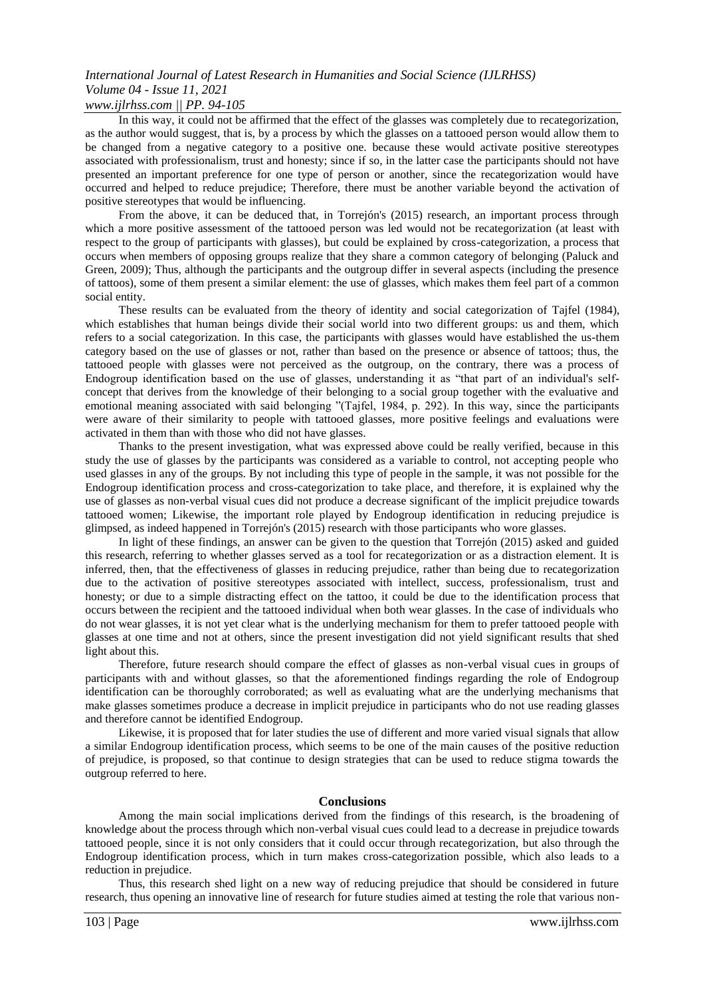### *www.ijlrhss.com || PP. 94-105*

In this way, it could not be affirmed that the effect of the glasses was completely due to recategorization, as the author would suggest, that is, by a process by which the glasses on a tattooed person would allow them to be changed from a negative category to a positive one. because these would activate positive stereotypes associated with professionalism, trust and honesty; since if so, in the latter case the participants should not have presented an important preference for one type of person or another, since the recategorization would have occurred and helped to reduce prejudice; Therefore, there must be another variable beyond the activation of positive stereotypes that would be influencing.

From the above, it can be deduced that, in Torrejón's (2015) research, an important process through which a more positive assessment of the tattooed person was led would not be recategorization (at least with respect to the group of participants with glasses), but could be explained by cross-categorization, a process that occurs when members of opposing groups realize that they share a common category of belonging (Paluck and Green, 2009); Thus, although the participants and the outgroup differ in several aspects (including the presence of tattoos), some of them present a similar element: the use of glasses, which makes them feel part of a common social entity.

These results can be evaluated from the theory of identity and social categorization of Tajfel (1984), which establishes that human beings divide their social world into two different groups: us and them, which refers to a social categorization. In this case, the participants with glasses would have established the us-them category based on the use of glasses or not, rather than based on the presence or absence of tattoos; thus, the tattooed people with glasses were not perceived as the outgroup, on the contrary, there was a process of Endogroup identification based on the use of glasses, understanding it as "that part of an individual's selfconcept that derives from the knowledge of their belonging to a social group together with the evaluative and emotional meaning associated with said belonging "(Tajfel, 1984, p. 292). In this way, since the participants were aware of their similarity to people with tattooed glasses, more positive feelings and evaluations were activated in them than with those who did not have glasses.

Thanks to the present investigation, what was expressed above could be really verified, because in this study the use of glasses by the participants was considered as a variable to control, not accepting people who used glasses in any of the groups. By not including this type of people in the sample, it was not possible for the Endogroup identification process and cross-categorization to take place, and therefore, it is explained why the use of glasses as non-verbal visual cues did not produce a decrease significant of the implicit prejudice towards tattooed women; Likewise, the important role played by Endogroup identification in reducing prejudice is glimpsed, as indeed happened in Torrejón's (2015) research with those participants who wore glasses.

In light of these findings, an answer can be given to the question that Torrejón (2015) asked and guided this research, referring to whether glasses served as a tool for recategorization or as a distraction element. It is inferred, then, that the effectiveness of glasses in reducing prejudice, rather than being due to recategorization due to the activation of positive stereotypes associated with intellect, success, professionalism, trust and honesty; or due to a simple distracting effect on the tattoo, it could be due to the identification process that occurs between the recipient and the tattooed individual when both wear glasses. In the case of individuals who do not wear glasses, it is not yet clear what is the underlying mechanism for them to prefer tattooed people with glasses at one time and not at others, since the present investigation did not yield significant results that shed light about this.

Therefore, future research should compare the effect of glasses as non-verbal visual cues in groups of participants with and without glasses, so that the aforementioned findings regarding the role of Endogroup identification can be thoroughly corroborated; as well as evaluating what are the underlying mechanisms that make glasses sometimes produce a decrease in implicit prejudice in participants who do not use reading glasses and therefore cannot be identified Endogroup.

Likewise, it is proposed that for later studies the use of different and more varied visual signals that allow a similar Endogroup identification process, which seems to be one of the main causes of the positive reduction of prejudice, is proposed, so that continue to design strategies that can be used to reduce stigma towards the outgroup referred to here.

#### **Conclusions**

Among the main social implications derived from the findings of this research, is the broadening of knowledge about the process through which non-verbal visual cues could lead to a decrease in prejudice towards tattooed people, since it is not only considers that it could occur through recategorization, but also through the Endogroup identification process, which in turn makes cross-categorization possible, which also leads to a reduction in prejudice.

Thus, this research shed light on a new way of reducing prejudice that should be considered in future research, thus opening an innovative line of research for future studies aimed at testing the role that various non-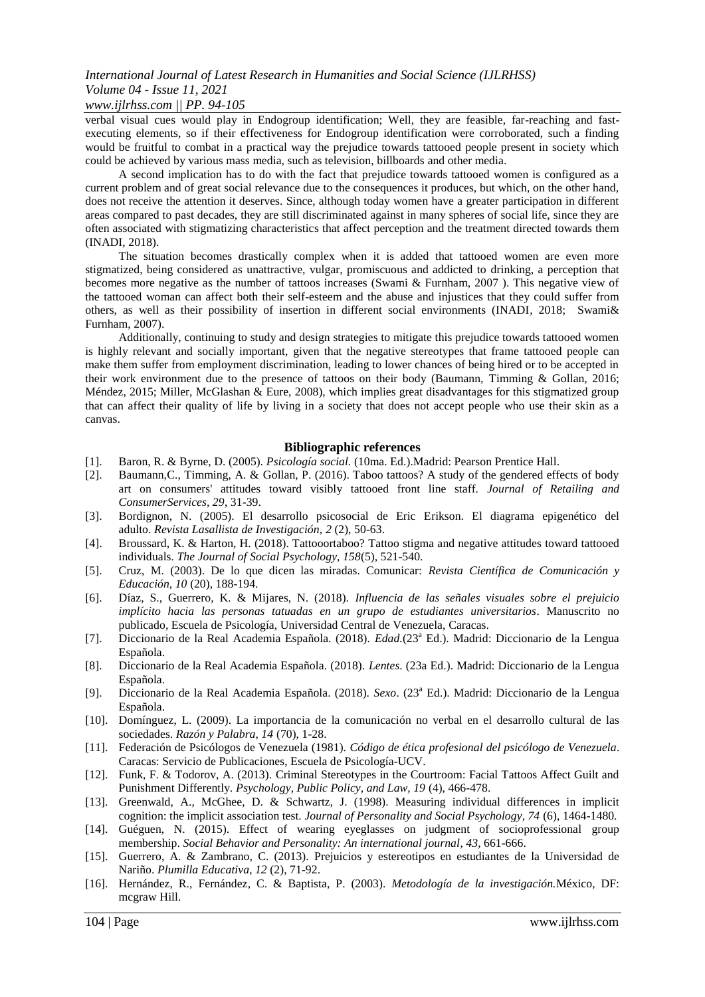### *www.ijlrhss.com || PP. 94-105*

verbal visual cues would play in Endogroup identification; Well, they are feasible, far-reaching and fastexecuting elements, so if their effectiveness for Endogroup identification were corroborated, such a finding would be fruitful to combat in a practical way the prejudice towards tattooed people present in society which could be achieved by various mass media, such as television, billboards and other media.

A second implication has to do with the fact that prejudice towards tattooed women is configured as a current problem and of great social relevance due to the consequences it produces, but which, on the other hand, does not receive the attention it deserves. Since, although today women have a greater participation in different areas compared to past decades, they are still discriminated against in many spheres of social life, since they are often associated with stigmatizing characteristics that affect perception and the treatment directed towards them (INADI, 2018).

The situation becomes drastically complex when it is added that tattooed women are even more stigmatized, being considered as unattractive, vulgar, promiscuous and addicted to drinking, a perception that becomes more negative as the number of tattoos increases (Swami & Furnham, 2007 ). This negative view of the tattooed woman can affect both their self-esteem and the abuse and injustices that they could suffer from others, as well as their possibility of insertion in different social environments (INADI, 2018; Swami& Furnham, 2007).

Additionally, continuing to study and design strategies to mitigate this prejudice towards tattooed women is highly relevant and socially important, given that the negative stereotypes that frame tattooed people can make them suffer from employment discrimination, leading to lower chances of being hired or to be accepted in their work environment due to the presence of tattoos on their body (Baumann, Timming & Gollan, 2016; Méndez, 2015; Miller, McGlashan & Eure, 2008), which implies great disadvantages for this stigmatized group that can affect their quality of life by living in a society that does not accept people who use their skin as a canvas.

### **Bibliographic references**

- [1]. Baron, R. & Byrne, D. (2005). *Psicología social.* (10ma. Ed.).Madrid: Pearson Prentice Hall.
- [2]. Baumann,C., Timming, A. & Gollan, P. (2016). Taboo tattoos? A study of the gendered effects of body art on consumers' attitudes toward visibly tattooed front line staff. *Journal of Retailing and ConsumerServices, 29*, 31-39.
- [3]. Bordignon, N. (2005). El desarrollo psicosocial de Eric Erikson. El diagrama epigenético del adulto. *Revista Lasallista de Investigación, 2* (2), 50-63.
- [4]. Broussard, K. & Harton, H. (2018). Tattooortaboo? Tattoo stigma and negative attitudes toward tattooed individuals. *The Journal of Social Psychology, 158*(5), 521-540.
- [5]. Cruz, M. (2003). De lo que dicen las miradas. Comunicar: *Revista Científica de Comunicación y Educación, 10* (20), 188-194.
- [6]. Díaz, S., Guerrero, K. & Mijares, N. (2018). *Influencia de las señales visuales sobre el prejuicio implícito hacia las personas tatuadas en un grupo de estudiantes universitarios*. Manuscrito no publicado, Escuela de Psicología, Universidad Central de Venezuela, Caracas.
- [7]. Diccionario de la Real Academia Española. (2018). *Edad*. (23<sup>a</sup> Ed.). Madrid: Diccionario de la Lengua Española.
- [8]. Diccionario de la Real Academia Española. (2018). *Lentes*. (23a Ed.). Madrid: Diccionario de la Lengua Española.
- [9]. Diccionario de la Real Academia Española. (2018). *Sexo*. (23<sup>a</sup> Ed.). Madrid: Diccionario de la Lengua Española.
- [10]. Domínguez, L. (2009). La importancia de la comunicación no verbal en el desarrollo cultural de las sociedades. *Razón y Palabra, 14* (70), 1-28.
- [11]. Federación de Psicólogos de Venezuela (1981). *Código de ética profesional del psicólogo de Venezuela*. Caracas: Servicio de Publicaciones, Escuela de Psicología-UCV.
- [12]. Funk, F. & Todorov, A. (2013). Criminal Stereotypes in the Courtroom: Facial Tattoos Affect Guilt and Punishment Differently. *Psychology, Public Policy, and Law, 19* (4), 466-478.
- [13]. Greenwald, A., McGhee, D. & Schwartz, J. (1998). Measuring individual differences in implicit cognition: the implicit association test. *Journal of Personality and Social Psychology, 74* (6), 1464-1480.
- [14]. Guéguen, N. (2015). Effect of wearing eyeglasses on judgment of socioprofessional group membership. *Social Behavior and Personality: An international journal*, *43*, 661-666.
- [15]. Guerrero, A. & Zambrano, C. (2013). Prejuicios y estereotipos en estudiantes de la Universidad de Nariño. *Plumilla Educativa*, *12* (2), 71-92.
- [16]. Hernández, R., Fernández, C. & Baptista, P. (2003). *Metodología de la investigación.*México, DF: mcgraw Hill.